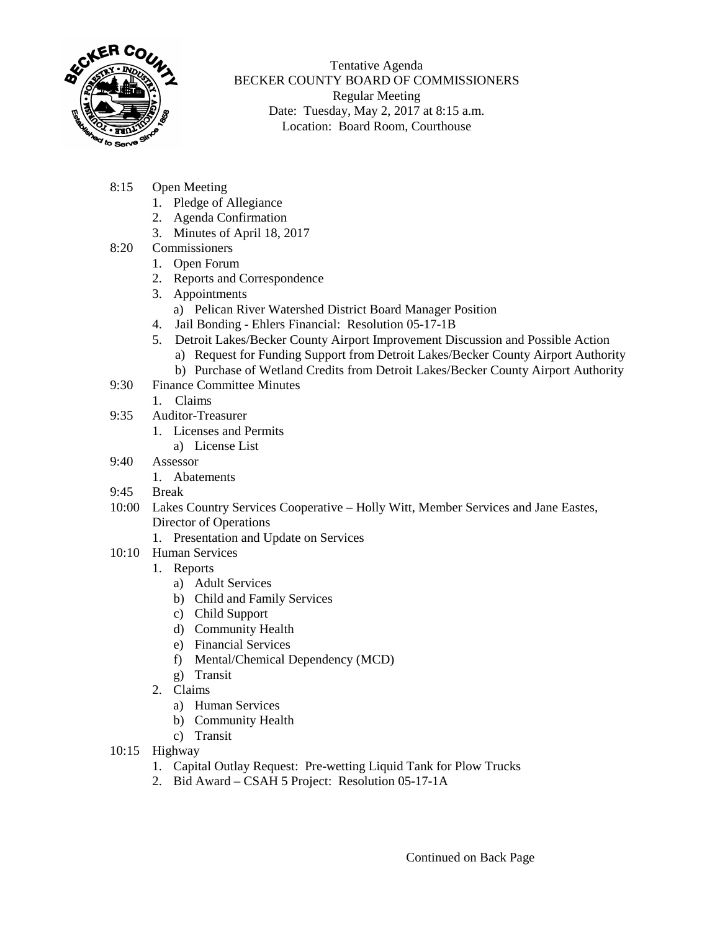

Tentative Agenda BECKER COUNTY BOARD OF COMMISSIONERS Regular Meeting Date: Tuesday, May 2, 2017 at 8:15 a.m. Location: Board Room, Courthouse

- 8:15 Open Meeting
	- 1. Pledge of Allegiance
	- 2. Agenda Confirmation
	- 3. Minutes of April 18, 2017
- 8:20 Commissioners
	- 1. Open Forum
	- 2. Reports and Correspondence
	- 3. Appointments
		- a) Pelican River Watershed District Board Manager Position
	- 4. Jail Bonding Ehlers Financial: Resolution 05-17-1B
	- 5. Detroit Lakes/Becker County Airport Improvement Discussion and Possible Action
		- a) Request for Funding Support from Detroit Lakes/Becker County Airport Authority
		- b) Purchase of Wetland Credits from Detroit Lakes/Becker County Airport Authority
- 9:30 Finance Committee Minutes
	- 1. Claims
- 9:35 Auditor-Treasurer
	- 1. Licenses and Permits
		- a) License List
- 9:40 Assessor
	- 1. Abatements
- 9:45 Break
- 10:00 Lakes Country Services Cooperative Holly Witt, Member Services and Jane Eastes, Director of Operations
	- 1. Presentation and Update on Services
- 10:10 Human Services
	- 1. Reports
		- a) Adult Services
		- b) Child and Family Services
		- c) Child Support
		- d) Community Health
		- e) Financial Services
		- f) Mental/Chemical Dependency (MCD)
		- g) Transit
	- 2. Claims
		- a) Human Services
		- b) Community Health
		- c) Transit
- 10:15 Highway
	- 1. Capital Outlay Request: Pre-wetting Liquid Tank for Plow Trucks
	- 2. Bid Award CSAH 5 Project: Resolution 05-17-1A